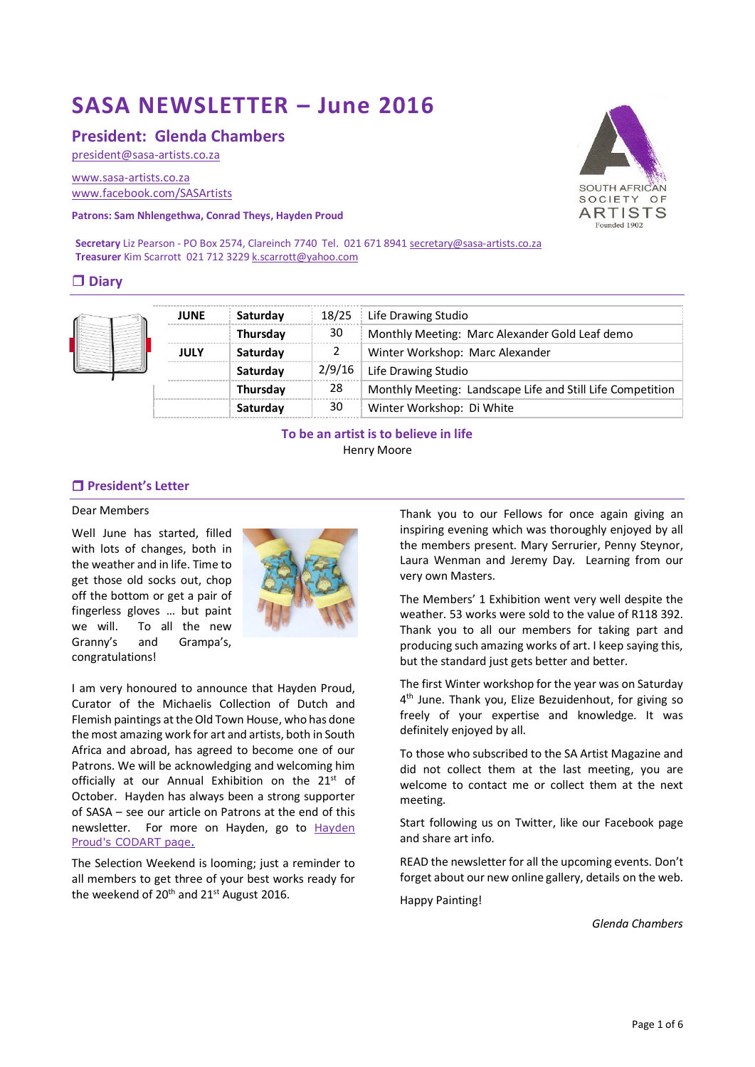# **SASA NEWSLETTER – June 2016**

# **President: Glenda Chambers**

[president@sasa-artists.co.za](mailto:president@sasa-artists.co.za)

[www.sasa-artists.co.za](http://www.sasa-artists.co.za/) [www.facebook.com/SASArtists](http://www.facebook.com/SASArtists)

**Patrons: Sam Nhlengethwa, Conrad Theys, Hayden Proud**

Secretary Liz Pearson - PO Box 2574, Clareinch 7740 Tel. 021 671 894[1 secretary@sasa-artists.co.za](mailto:secretary@sasa-artists.co.za) **Treasurer** Kim Scarrott 021 712 322[9 k.scarrott@yahoo.com](mailto:k.scarrott@yahoo.com)

# **Diary**

|  | <b>JUNE</b> | Saturday        | 18/25  | Life Drawing Studio                                        |
|--|-------------|-----------------|--------|------------------------------------------------------------|
|  |             | Thursday        | 30     | Monthly Meeting: Marc Alexander Gold Leaf demo             |
|  | <b>JULY</b> | Saturday        |        | Winter Workshop: Marc Alexander                            |
|  |             | Saturday        | 2/9/16 | Life Drawing Studio                                        |
|  |             | <b>Thursday</b> | 28     | Monthly Meeting: Landscape Life and Still Life Competition |
|  |             | Saturday        | 30     | Winter Workshop: Di White                                  |

**To be an artist is to believe in life** Henry Moore

# **President's Letter**

# Dear Members

Well June has started, filled with lots of changes, both in the weather and in life. Time to get those old socks out, chop off the bottom or get a pair of fingerless gloves … but paint we will. To all the new Granny's and Grampa's, congratulations!



I am very honoured to announce that Hayden Proud, Curator of the Michaelis Collection of Dutch and Flemish paintings at the Old Town House, who has done the most amazing work for art and artists, both in South Africa and abroad, has agreed to become one of our Patrons. We will be acknowledging and welcoming him officially at our Annual Exhibition on the 21<sup>st</sup> of October. Hayden has always been a strong supporter of SASA – see our article on Patrons at the end of this newsletter. For more on Hayden, go to [Hayden](http://www.codart.nl/108/persons/details/?person_id=262)  [Proud's CODART page.](http://www.codart.nl/108/persons/details/?person_id=262)

The Selection Weekend is looming; just a reminder to all members to get three of your best works ready for the weekend of  $20^{th}$  and  $21^{st}$  August 2016.

Thank you to our Fellows for once again giving an inspiring evening which was thoroughly enjoyed by all the members present. Mary Serrurier, Penny Steynor, Laura Wenman and Jeremy Day. Learning from our very own Masters.

The Members' 1 Exhibition went very well despite the weather. 53 works were sold to the value of R118 392. Thank you to all our members for taking part and producing such amazing works of art. I keep saying this, but the standard just gets better and better.

The first Winter workshop for the year was on Saturday 4 th June. Thank you, Elize Bezuidenhout, for giving so freely of your expertise and knowledge. It was definitely enjoyed by all.

To those who subscribed to the SA Artist Magazine and did not collect them at the last meeting, you are welcome to contact me or collect them at the next meeting.

Start following us on Twitter, like our Facebook page and share art info.

READ the newsletter for all the upcoming events. Don't forget about our new online gallery, details on the web.

Happy Painting!

*Glenda Chambers*

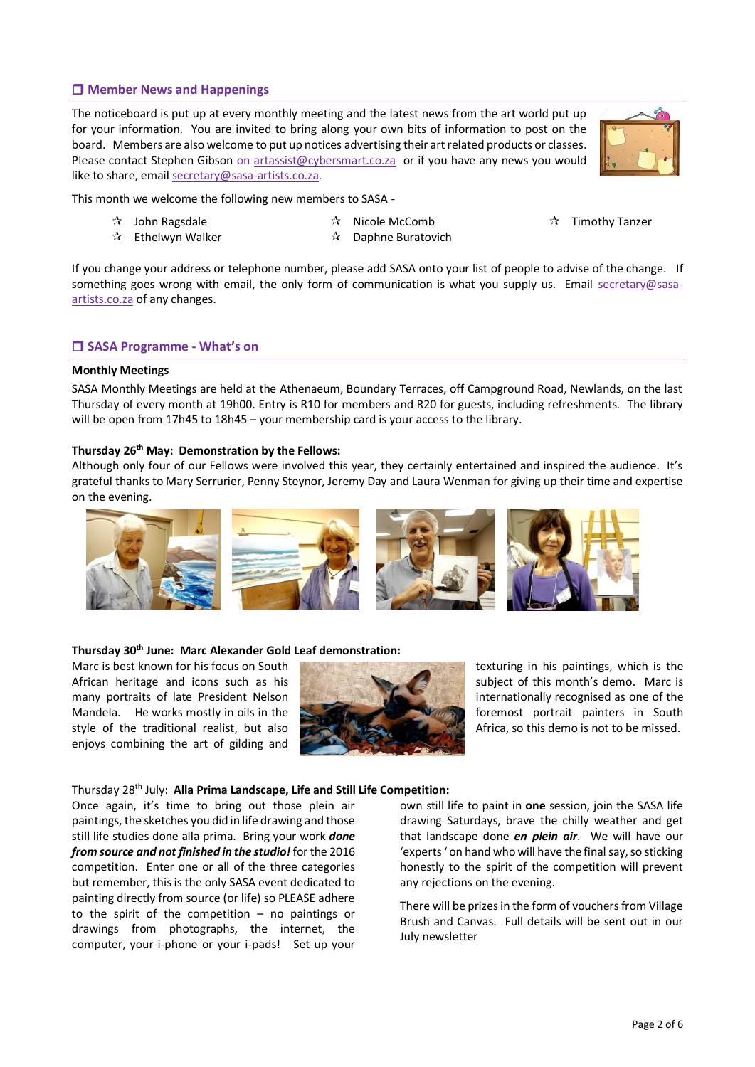# **Member News and Happenings**

The noticeboard is put up at every monthly meeting and the latest news from the art world put up for your information. You are invited to bring along your own bits of information to post on the board. Members are also welcome to put up notices advertising their art related products or classes. Please contact Stephen Gibson on [artassist@cybersmart.co.za](mailto:artassist@cybersmart.co.za) or if you have any news you would like to share, emai[l secretary@sasa-artists.co.za.](mailto:secretary@sasa-artists.co.za)



This month we welcome the following new members to SASA -

- $\mathbf{\hat{x}}$  John Ragsdale
- $\sqrt[4]{ }$  Ethelwyn Walker
- Nicole McComb  $\mathbf{\hat{x}}$  Daphne Buratovich
- $\mathbf{\hat{x}}$  Timothy Tanzer
- If you change your address or telephone number, please add SASA onto your list of people to advise of the change. If something goes wrong with email, the only form of communication is what you supply us. Email [secretary@sasa](mailto:secretary@sasa-artists.co.za)[artists.co.za](mailto:secretary@sasa-artists.co.za) of any changes.

# **SASA Programme - What's on**

#### **Monthly Meetings**

SASA Monthly Meetings are held at the Athenaeum, Boundary Terraces, off Campground Road, Newlands, on the last Thursday of every month at 19h00. Entry is R10 for members and R20 for guests, including refreshments. The library will be open from 17h45 to 18h45 – your membership card is your access to the library.

#### **Thursday 26th May: Demonstration by the Fellows:**

Although only four of our Fellows were involved this year, they certainly entertained and inspired the audience. It's grateful thanks to Mary Serrurier, Penny Steynor, Jeremy Day and Laura Wenman for giving up their time and expertise on the evening.



#### **Thursday 30th June: Marc Alexander Gold Leaf demonstration:**

Marc is best known for his focus on South African heritage and icons such as his many portraits of late President Nelson Mandela. He works mostly in oils in the style of the traditional realist, but also enjoys combining the art of gilding and



texturing in his paintings, which is the subject of this month's demo. Marc is internationally recognised as one of the foremost portrait painters in South Africa, so this demo is not to be missed.

#### Thursday 28th July: **Alla Prima Landscape, Life and Still Life Competition:**

Once again, it's time to bring out those plein air paintings, the sketches you did in life drawing and those still life studies done alla prima. Bring your work *done from source and not finished in the studio!* for the 2016 competition. Enter one or all of the three categories but remember, this is the only SASA event dedicated to painting directly from source (or life) so PLEASE adhere to the spirit of the competition – no paintings or drawings from photographs, the internet, the computer, your i-phone or your i-pads! Set up your own still life to paint in **one** session, join the SASA life drawing Saturdays, brave the chilly weather and get that landscape done *en plein air*. We will have our 'experts ' on hand who will have the final say, so sticking honestly to the spirit of the competition will prevent any rejections on the evening.

There will be prizes in the form of vouchers from Village Brush and Canvas. Full details will be sent out in our July newsletter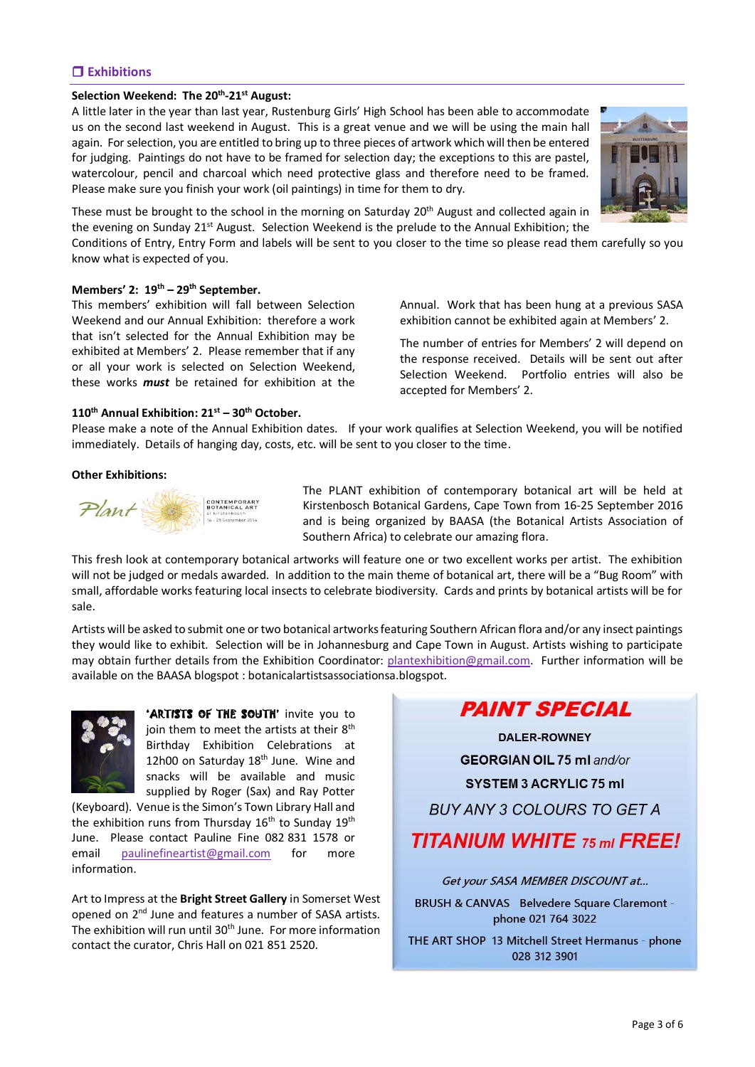# **Exhibitions**

# **Selection Weekend: The 20th -21st August:**

A little later in the year than last year, Rustenburg Girls' High School has been able to accommodate us on the second last weekend in August. This is a great venue and we will be using the main hall again. For selection, you are entitled to bring up to three pieces of artwork which will then be entered for judging. Paintings do not have to be framed for selection day; the exceptions to this are pastel, watercolour, pencil and charcoal which need protective glass and therefore need to be framed. Please make sure you finish your work (oil paintings) in time for them to dry.



These must be brought to the school in the morning on Saturday  $20<sup>th</sup>$  August and collected again in the evening on Sunday 21<sup>st</sup> August. Selection Weekend is the prelude to the Annual Exhibition; the

Conditions of Entry, Entry Form and labels will be sent to you closer to the time so please read them carefully so you know what is expected of you.

#### **Members' 2: 19th – 29th September.**

This members' exhibition will fall between Selection Weekend and our Annual Exhibition: therefore a work that isn't selected for the Annual Exhibition may be exhibited at Members' 2. Please remember that if any or all your work is selected on Selection Weekend, these works *must* be retained for exhibition at the Annual. Work that has been hung at a previous SASA exhibition cannot be exhibited again at Members' 2.

The number of entries for Members' 2 will depend on the response received. Details will be sent out after Selection Weekend. Portfolio entries will also be accepted for Members' 2.

#### **110th Annual Exhibition: 21st – 30th October.**

Please make a note of the Annual Exhibition dates. If your work qualifies at Selection Weekend, you will be notified immediately. Details of hanging day, costs, etc. will be sent to you closer to the time.

#### **Other Exhibitions:**



The PLANT exhibition of contemporary botanical art will be held at Kirstenbosch Botanical Gardens, Cape Town from 16-25 September 2016 and is being organized by BAASA (the Botanical Artists Association of Southern Africa) to celebrate our amazing flora.

This fresh look at contemporary botanical artworks will feature one or two excellent works per artist. The exhibition will not be judged or medals awarded. In addition to the main theme of botanical art, there will be a "Bug Room" with small, affordable works featuring local insects to celebrate biodiversity. Cards and prints by botanical artists will be for sale.

Artists will be asked to submit one or two botanical artworks featuring Southern African flora and/or any insect paintings they would like to exhibit. Selection will be in Johannesburg and Cape Town in August. Artists wishing to participate may obtain further details from the Exhibition Coordinator: [plantexhibition@gmail.com.](mailto:plantexhibition@gmail.com) Further information will be available on the BAASA blogspot : botanicalartistsassociationsa.blogspot.



**'ARTISTS OF THE SOUTH'** invite you to join them to meet the artists at their 8<sup>th</sup> Birthday Exhibition Celebrations at 12h00 on Saturday 18<sup>th</sup> June. Wine and snacks will be available and music supplied by Roger (Sax) and Ray Potter

(Keyboard). Venue is the Simon's Town Library Hall and the exhibition runs from Thursday  $16<sup>th</sup>$  to Sunday  $19<sup>th</sup>$ June. Please contact Pauline Fine 082 831 1578 or email [paulinefineartist@gmail.com](mailto:paulinefineartist@gmail.com) for more information.

Art to Impress at the **Bright Street Gallery** in Somerset West opened on 2nd June and features a number of SASA artists. The exhibition will run until 30<sup>th</sup> June. For more information contact the curator, Chris Hall on 021 851 2520.

**PAINT SPECIAL** 

**DALER-ROWNEY GEORGIAN OIL 75 ml and/or SYSTEM 3 ACRYLIC 75 ml BUY ANY 3 COLOURS TO GET A TITANIUM WHITE 75 ml FREE!** 

Get your SASA MEMBER DISCOUNT at ... BRUSH & CANVAS Belvedere Square Claremont phone 021 764 3022

THE ART SHOP 13 Mitchell Street Hermanus - phone 028 312 3901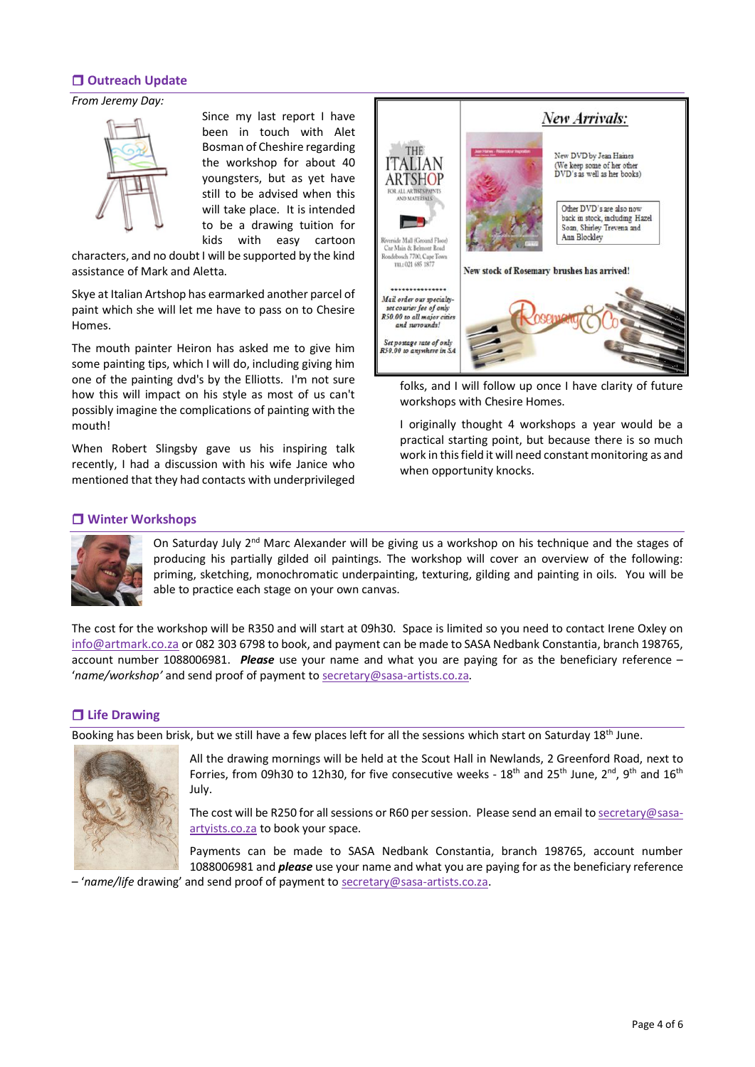# **Outreach Update**

#### *From Jeremy Day:*



Since my last report I have been in touch with Alet Bosman of Cheshire regarding the workshop for about 40 youngsters, but as yet have still to be advised when this will take place. It is intended to be a drawing tuition for kids with easy cartoon

characters, and no doubt I will be supported by the kind assistance of Mark and Aletta.

Skye at Italian Artshop has earmarked another parcel of paint which she will let me have to pass on to Chesire Homes.

The mouth painter Heiron has asked me to give him some painting tips, which I will do, including giving him one of the painting dvd's by the Elliotts. I'm not sure how this will impact on his style as most of us can't possibly imagine the complications of painting with the mouth!

When Robert Slingsby gave us his inspiring talk recently, I had a discussion with his wife Janice who mentioned that they had contacts with underprivileged



folks, and I will follow up once I have clarity of future workshops with Chesire Homes.

I originally thought 4 workshops a year would be a practical starting point, but because there is so much work in this field it will need constant monitoring as and when opportunity knocks.

# **Winter Workshops**



On Saturday July  $2<sup>nd</sup>$  Marc Alexander will be giving us a workshop on his technique and the stages of producing his partially gilded oil paintings. The workshop will cover an overview of the following: priming, sketching, monochromatic underpainting, texturing, gilding and painting in oils. You will be able to practice each stage on your own canvas.

The cost for the workshop will be R350 and will start at 09h30. Space is limited so you need to contact Irene Oxley on [info@artmark.co.za](mailto:info@artmark.co.za) or 082 303 6798 to book, and payment can be made to SASA Nedbank Constantia, branch 198765, account number 1088006981. *Please* use your name and what you are paying for as the beneficiary reference – '*name/workshop'* and send proof of payment to [secretary@sasa-artists.co.za.](mailto:secretary@sasa-artists.co.za)

# **Life Drawing**

Booking has been brisk, but we still have a few places left for all the sessions which start on Saturday 18th June.



All the drawing mornings will be held at the Scout Hall in Newlands, 2 Greenford Road, next to Forries, from 09h30 to 12h30, for five consecutive weeks -  $18^{th}$  and  $25^{th}$  June,  $2^{nd}$ ,  $9^{th}$  and  $16^{th}$ July.

The cost will be R250 for all sessions or R60 per session. Please send an email t[o secretary@sasa](mailto:secretary@sasa-artyists.co.za)[artyists.co.za](mailto:secretary@sasa-artyists.co.za) to book your space.

Payments can be made to SASA Nedbank Constantia, branch 198765, account number 1088006981 and *please* use your name and what you are paying for as the beneficiary reference

– '*name/life* drawing' and send proof of payment to [secretary@sasa-artists.co.za.](mailto:secretary@sasa-artists.co.za)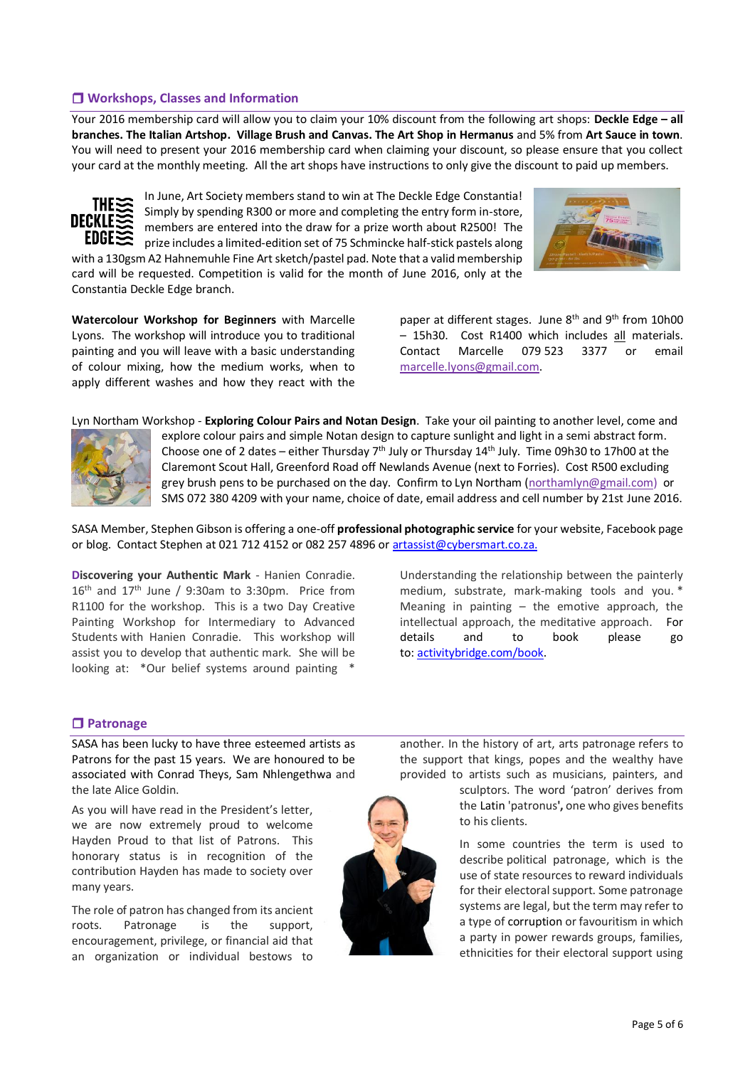# **Workshops, Classes and Information**

Your 2016 membership card will allow you to claim your 10% discount from the following art shops: **Deckle Edge – all branches. The Italian Artshop. Village Brush and Canvas. The Art Shop in Hermanus** and 5% from **Art Sauce in town**. You will need to present your 2016 membership card when claiming your discount, so please ensure that you collect your card at the monthly meeting. All the art shops have instructions to only give the discount to paid up members.



In June, Art Society members stand to win at The Deckle Edge Constantia! Simply by spending R300 or more and completing the entry form in-store, members are entered into the draw for a prize worth about R2500! The prize includes a limited-edition set of 75 Schmincke half-stick pastels along

with a 130gsm A2 Hahnemuhle Fine Art sketch/pastel pad. Note that a valid membership card will be requested. Competition is valid for the month of June 2016, only at the Constantia Deckle Edge branch.

**Watercolour Workshop for Beginners** with Marcelle Lyons. The workshop will introduce you to traditional painting and you will leave with a basic understanding of colour mixing, how the medium works, when to apply different washes and how they react with the paper at different stages. June  $8<sup>th</sup>$  and  $9<sup>th</sup>$  from 10h00 – 15h30. Cost R1400 which includes all materials. Contact Marcelle 079 523 3377 or email [marcelle.lyons@gmail.com.](mailto:marcelle.lyons@gmail.com)

Lyn Northam Workshop - **Exploring Colour Pairs and Notan Design**. Take your oil painting to another level, come and



explore colour pairs and simple Notan design to capture sunlight and light in a semi abstract form. Choose one of 2 dates – either Thursday  $7<sup>th</sup>$  July or Thursday 14<sup>th</sup> July. Time 09h30 to 17h00 at the Claremont Scout Hall, Greenford Road off Newlands Avenue (next to Forries). Cost R500 excluding grey brush pens to be purchased on the day. Confirm to Lyn Northam [\(northamlyn@gmail.com\)](mailto:northamlyn@gmail.com) or SMS 072 380 4209 with your name, choice of date, email address and cell number by 21st June 2016.

SASA Member, Stephen Gibson is offering a one-off **professional photographic service** for your website, Facebook page or blog. Contact Stephen at 021 712 4152 or 082 257 4896 or [artassist@cybersmart.co.za.](mailto:artassist@cybersmart.co.za)

**Discovering your Authentic Mark** - Hanien Conradie.  $16<sup>th</sup>$  and  $17<sup>th</sup>$  June / 9:30am to 3:30pm. Price from R1100 for the workshop. This is a two Day Creative Painting Workshop for Intermediary to Advanced Students with Hanien Conradie. This workshop will assist you to develop that authentic mark. She will be looking at: \*Our belief systems around painting \*

Understanding the relationship between the painterly medium, substrate, mark-making tools and you. \* Meaning in painting  $-$  the emotive approach, the intellectual approach, the meditative approach. For details and to book please go to: [activitybridge.com/book.](http://activitybridge.com/book?activityid=5368)

## **Patronage**

SASA has been lucky to have three esteemed artists as Patrons for the past 15 years. We are honoured to be associated with Conrad Theys, Sam Nhlengethwa and the late Alice Goldin.

As you will have read in the President's letter, we are now extremely proud to welcome Hayden Proud to that list of Patrons. This honorary status is in recognition of the contribution Hayden has made to society over many years.

The role of patron has changed from its ancient roots. Patronage is the support, encouragement, privilege, or financial aid that an organization or individual bestows to



another. In the history of art, arts patronage refers to the support that kings, popes and the wealthy have provided to artists such as musicians, painters, and

> sculptors. The word 'patron' derives from the [Latin](https://en.wikipedia.org/wiki/Latin_language) 'patronus**',** one who gives benefits to his clients.

> In some countries the term is used to describe political patronage, which is the use of state resources to reward individuals for their electoral support. Some patronage systems are legal, but the term may refer to a type of corruption or favouritism in which a party in power rewards groups, families, ethnicities for their electoral support using